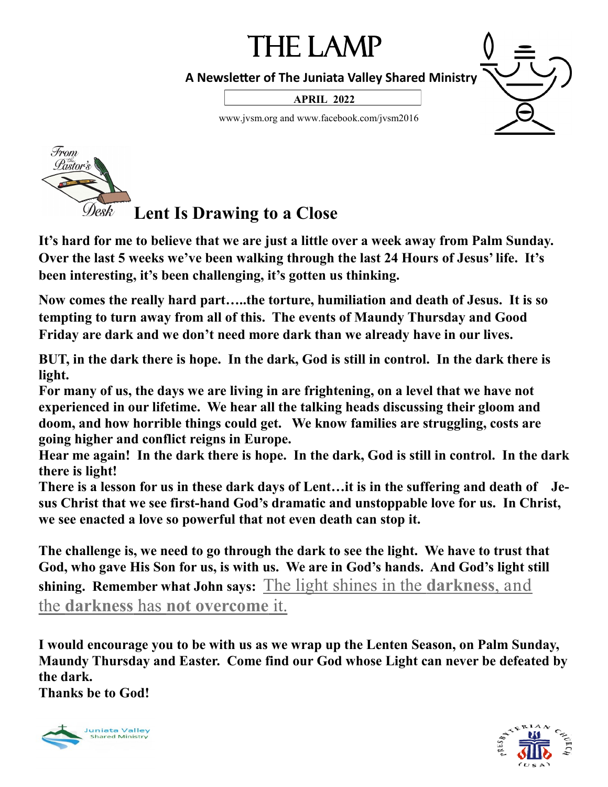# The Lamp

 **A Newsletter of The Juniata Valley Shared Ministry**

**APRIL 2022**

www.jvsm.org and www.facebook.com/jvsm2016



# **Lent Is Drawing to a Close**

**It's hard for me to believe that we are just a little over a week away from Palm Sunday. Over the last 5 weeks we've been walking through the last 24 Hours of Jesus' life. It's been interesting, it's been challenging, it's gotten us thinking.**

**Now comes the really hard part…..the torture, humiliation and death of Jesus. It is so tempting to turn away from all of this. The events of Maundy Thursday and Good Friday are dark and we don't need more dark than we already have in our lives.**

**BUT, in the dark there is hope. In the dark, God is still in control. In the dark there is light.**

**For many of us, the days we are living in are frightening, on a level that we have not experienced in our lifetime. We hear all the talking heads discussing their gloom and doom, and how horrible things could get. We know families are struggling, costs are going higher and conflict reigns in Europe.**

**Hear me again! In the dark there is hope. In the dark, God is still in control. In the dark there is light!**

**There is a lesson for us in these dark days of Lent…it is in the suffering and death of Jesus Christ that we see first-hand God's dramatic and unstoppable love for us. In Christ, we see enacted a love so powerful that not even death can stop it.**

**The challenge is, we need to go through the dark to see the light. We have to trust that God, who gave His Son for us, is with us. We are in God's hands. And God's light still shining. Remember what John says:** The light shines in the **darkness**, and the **darkness** has **not overcome** it.

**I would encourage you to be with us as we wrap up the Lenten Season, on Palm Sunday, Maundy Thursday and Easter. Come find our God whose Light can never be defeated by the dark.** 

**Thanks be to God!**



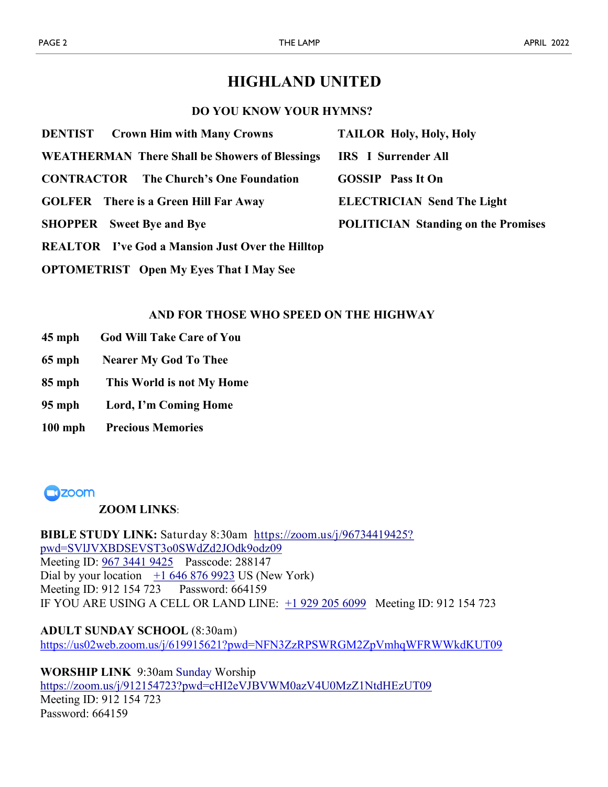## **HIGHLAND UNITED**

### **DO YOU KNOW YOUR HYMNS?**

| <b>DENTIST</b> Crown Him with Many Crowns               | <b>TAILOR Holy, Holy, Holy</b>             |
|---------------------------------------------------------|--------------------------------------------|
| <b>WEATHERMAN There Shall be Showers of Blessings</b>   | <b>IRS</b> I Surrender All                 |
| <b>CONTRACTOR</b> The Church's One Foundation           | <b>GOSSIP</b> Pass It On                   |
| <b>GOLFER</b> There is a Green Hill Far Away            | <b>ELECTRICIAN Send The Light</b>          |
| <b>SHOPPER</b> Sweet Bye and Bye                        | <b>POLITICIAN Standing on the Promises</b> |
| <b>REALTOR</b> I've God a Mansion Just Over the Hilltop |                                            |

**OPTOMETRIST Open My Eyes That I May See**

### **AND FOR THOSE WHO SPEED ON THE HIGHWAY**

- **45 mph God Will Take Care of You**
- **65 mph Nearer My God To Thee**
- **85 mph This World is not My Home**
- **95 mph Lord, I'm Coming Home**
- **100 mph Precious Memories**



### **ZOOM LINKS**:

**BIBLE STUDY LINK:** Saturday 8:30am [https://zoom.us/j/96734419425?](https://zoom.us/j/96734419425?pwd=SVlJVXBDSEVST3o0SWdZd2JOdk9odz09) [pwd=SVlJVXBDSEVST3o0SWdZd2JOdk9odz09](https://zoom.us/j/96734419425?pwd=SVlJVXBDSEVST3o0SWdZd2JOdk9odz09) Meeting ID: [967 3441 9425](callto:967%203441%209425) Passcode: 288147 Dial by your location  $+1$  646 876 9923 US (New York) Meeting ID: 912 154 723 Password: 664159 IF YOU ARE USING A CELL OR LAND LINE: [+1 929 205 6099](callto:+1%20929%20205%206099) Meeting ID: 912 154 723

**ADULT SUNDAY SCHOOL** (8:30am) <https://us02web.zoom.us/j/619915621?pwd=NFN3ZzRPSWRGM2ZpVmhqWFRWWkdKUT09>

**WORSHIP LINK** 9:30am Sunday Worship <https://zoom.us/j/912154723?pwd=cHI2eVJBVWM0azV4U0MzZ1NtdHEzUT09> Meeting ID: 912 154 723 Password: 664159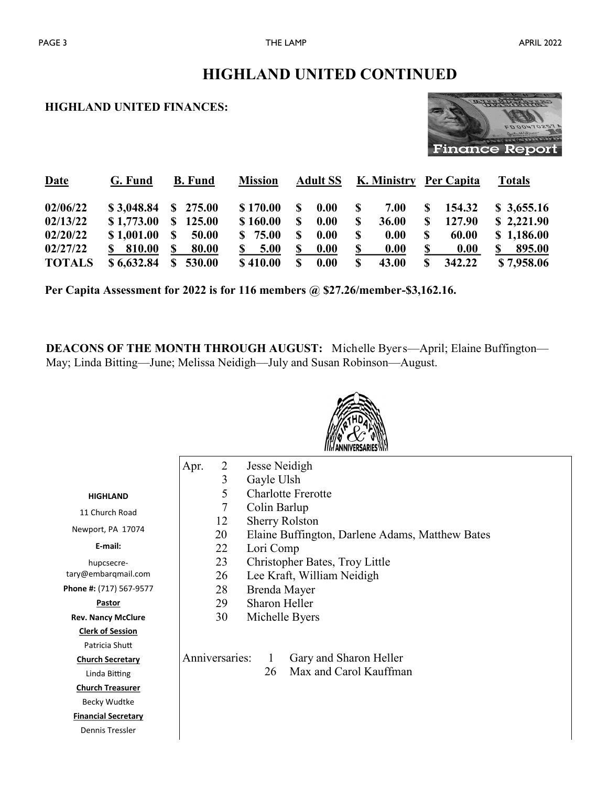## **HIGHLAND UNITED FINANCES:**



| <b>Date</b>   | G. Fund    | <b>B.</b> Fund         | <b>Mission</b> | <b>Adult SS</b>       | K. Ministry Per Capita |                       | <b>Totals</b> |
|---------------|------------|------------------------|----------------|-----------------------|------------------------|-----------------------|---------------|
| 02/06/22      | \$3,048.84 | $\frac{\$}{275.00}$    | \$170.00       | 0.00<br>S.            | S.<br>7.00             | 154.32<br>S.          | \$3,655.16    |
| 02/13/22      | \$1,773.00 | \$125.00               | \$160.00       | 0.00<br><sup>\$</sup> | S.<br>36.00            | 127.90<br>S.          | \$2,221.90    |
| 02/20/22      | \$1,001.00 | <sup>S</sup><br>50.00  | \$75.00        | 0.00<br>S.            | S.<br>0.00             | 60.00<br><sup>S</sup> | \$1,186.00    |
| 02/27/22      | \$810.00   | 80.00<br>\$            | 5.00<br>S.     | 0.00<br>S.            | \$<br>0.00             | \$<br>0.00            | 895.00<br>\$  |
| <b>TOTALS</b> | \$6,632.84 | 530.00<br>$\mathbf{s}$ | \$410.00       | 0.00<br>S             | 43.00<br>\$            | 342.22<br>S.          | \$7,958.06    |

**Per Capita Assessment for 2022 is for 116 members @ \$27.26/member-\$3,162.16.** 

**DEACONS OF THE MONTH THROUGH AUGUST:** Michelle Byers—April; Elaine Buffington— May; Linda Bitting—June; Melissa Neidigh—July and Susan Robinson—August.

|                       | $\overline{2}$<br>Apr. | Jesse Neidigh                                   |
|-----------------------|------------------------|-------------------------------------------------|
|                       | 3                      | Gayle Ulsh                                      |
| HIGHLAND              | 5                      | <b>Charlotte Frerotte</b>                       |
| Church Road           | 7                      | Colin Barlup                                    |
|                       | 12                     | <b>Sherry Rolston</b>                           |
| port, PA 17074        | 20                     | Elaine Buffington, Darlene Adams, Matthew Bates |
| E-mail:               | 22                     | Lori Comp                                       |
| hupcsecre-            | 23                     | Christopher Bates, Troy Little                  |
| embargmail.com        | 26                     | Lee Kraft, William Neidigh                      |
| #: (717) 567-9577     | 28                     | Brenda Mayer                                    |
| Pastor                | 29                     | <b>Sharon Heller</b>                            |
| <b>Nancy McClure</b>  | 30                     | Michelle Byers                                  |
| <u>erk of Session</u> |                        |                                                 |
| atricia Shutt         |                        |                                                 |
| <u>urch Secretary</u> | Anniversaries:         | Gary and Sharon Heller<br>$\mathbf{1}$          |
| inda Bitting.         |                        | Max and Carol Kauffman<br>26                    |
| <u>ırch Treasurer</u> |                        |                                                 |
| ecky Wudtke           |                        |                                                 |
| ncial Secretary       |                        |                                                 |
| ennis Tressler        |                        |                                                 |
|                       |                        |                                                 |

 $11$ Newp

tary@e

Phone #

**Rev. I** 

**Cler** 

 $P\tilde{c}$ 

**Chu** 

Li **Church** 

Be

**Finar** 

Den

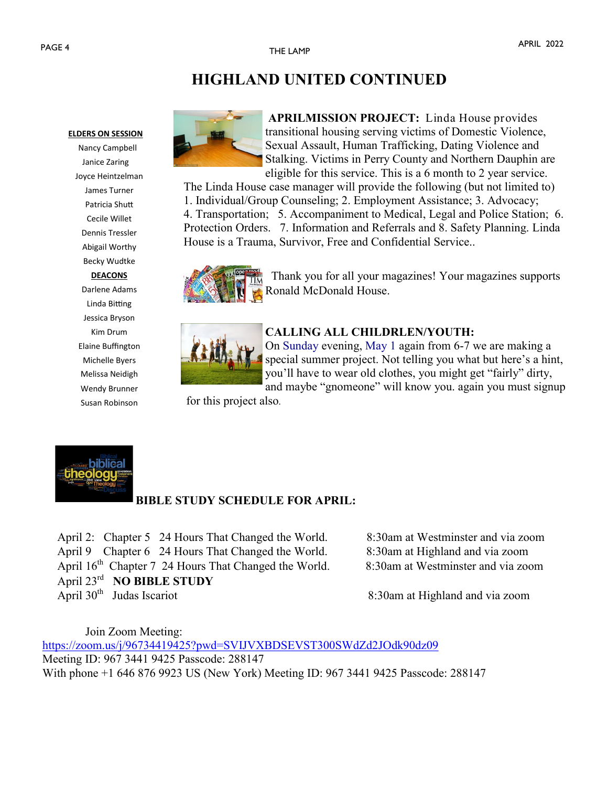### **ELDERS ON SESSION**

 Nancy Campbell Janice Zaring Joyce Heintzelman James Turner Patricia Shutt Cecile Willet Dennis Tressler Abigail Worthy Becky Wudtke **DEACONS** Darlene Adams Linda Bitting Jessica Bryson Kim Drum Elaine Buffington Michelle Byers Melissa Neidigh Wendy Brunner Susan Robinson



**APRILMISSION PROJECT:** Linda House provides transitional housing serving victims of Domestic Violence, Sexual Assault, Human Trafficking, Dating Violence and Stalking. Victims in Perry County and Northern Dauphin are eligible for this service. This is a 6 month to 2 year service.

The Linda House case manager will provide the following (but not limited to) 1. Individual/Group Counseling; 2. Employment Assistance; 3. Advocacy; 4. Transportation; 5. Accompaniment to Medical, Legal and Police Station; 6. Protection Orders. 7. Information and Referrals and 8. Safety Planning. Linda House is a Trauma, Survivor, Free and Confidential Service..



 Thank you for all your magazines! Your magazines supports Ronald McDonald House.



### **CALLING ALL CHILDRLEN/YOUTH:**

On Sunday evening, May 1 again from 6-7 we are making a special summer project. Not telling you what but here's a hint, you'll have to wear old clothes, you might get "fairly" dirty, and maybe "gnomeone" will know you. again you must signup

for this project also.



## **BIBLE STUDY SCHEDULE FOR APRIL:**

 April 2: Chapter 5 24 Hours That Changed the World. 8:30am at Westminster and via zoom April 9 Chapter 6 24 Hours That Changed the World. 8:30am at Highland and via zoom April 16<sup>th</sup> Chapter 7 24 Hours That Changed the World. 8:30am at Westminster and via zoom April 23rd **NO BIBLE STUDY** April  $30<sup>th</sup>$  Judas Iscariot

8:30am at Highland and via zoom

Join Zoom Meeting: <https://zoom.us/j/96734419425?pwd=SVIJVXBDSEVST300SWdZd2JOdk90dz09> Meeting ID: 967 3441 9425 Passcode: 288147 With phone +1 646 876 9923 US (New York) Meeting ID: 967 3441 9425 Passcode: 288147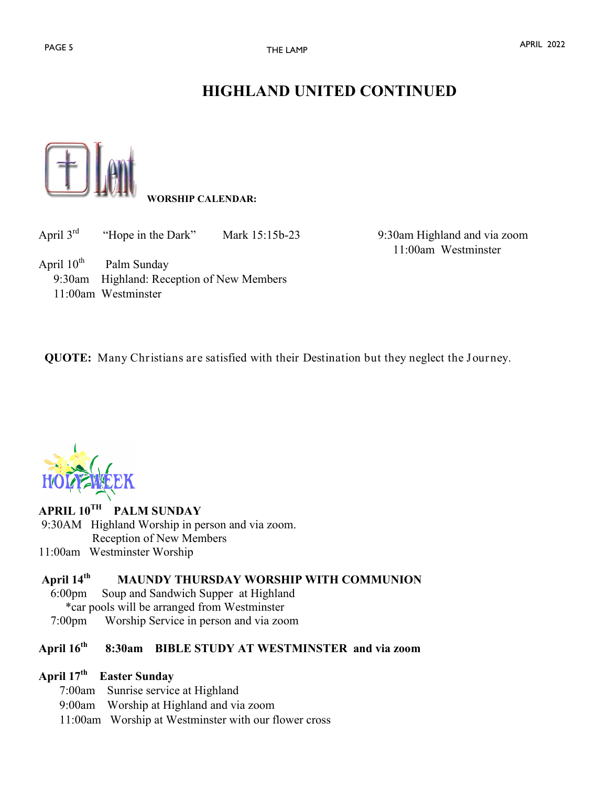

## **WORSHIP CALENDAR:**

| April $3^{rd}$ | "Hope in the Dark"                                                                              | Mark 15:15b-23 |
|----------------|-------------------------------------------------------------------------------------------------|----------------|
|                | April $10^{th}$ Palm Sunday<br>9:30am Highland: Reception of New Members<br>11:00am Westminster |                |

9:30am Highland and via zoom 11:00am Westminster

**QUOTE:** Many Christians are satisfied with their Destination but they neglect the Journey.

### **APRIL 10TH PALM SUNDAY** 9:30AM Highland Worship in person and via zoom. Reception of New Members

11:00am Westminster Worship

### **April 14th MAUNDY THURSDAY WORSHIP WITH COMMUNION**

- 6:00pm Soup and Sandwich Supper at Highland \*car pools will be arranged from Westminster
- 7:00pm Worship Service in person and via zoom

### **April 16th 8:30am BIBLE STUDY AT WESTMINSTER and via zoom**

### **April 17th Easter Sunday**

- 7:00am Sunrise service at Highland
- 9:00am Worship at Highland and via zoom
- 11:00am Worship at Westminster with our flower cross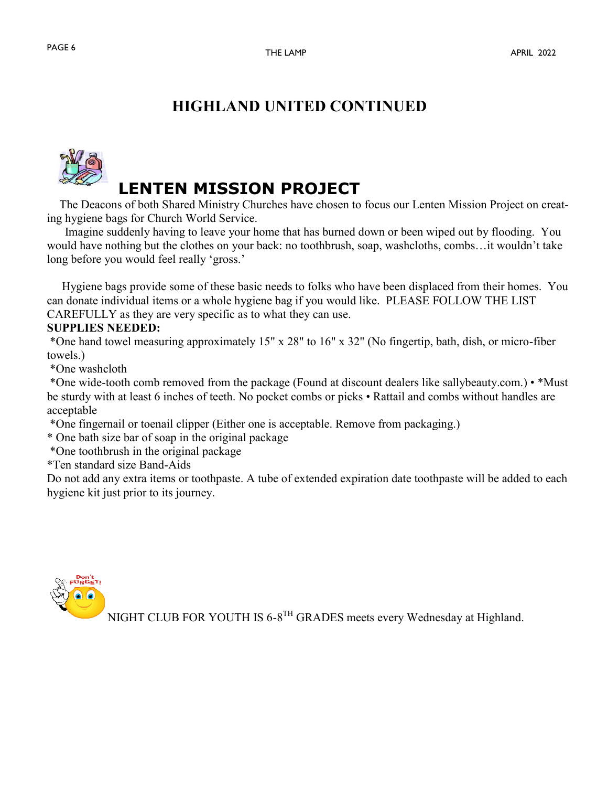

 The Deacons of both Shared Ministry Churches have chosen to focus our Lenten Mission Project on creating hygiene bags for Church World Service.

 Imagine suddenly having to leave your home that has burned down or been wiped out by flooding. You would have nothing but the clothes on your back: no toothbrush, soap, washcloths, combs…it wouldn't take long before you would feel really 'gross.'

 Hygiene bags provide some of these basic needs to folks who have been displaced from their homes. You can donate individual items or a whole hygiene bag if you would like. PLEASE FOLLOW THE LIST CAREFULLY as they are very specific as to what they can use.

### **SUPPLIES NEEDED:**

\*One hand towel measuring approximately 15" x 28" to 16" x 32" (No fingertip, bath, dish, or micro-fiber towels.)

\*One washcloth

\*One wide-tooth comb removed from the package (Found at discount dealers like sallybeauty.com.) • \*Must be sturdy with at least 6 inches of teeth. No pocket combs or picks • Rattail and combs without handles are acceptable

\*One fingernail or toenail clipper (Either one is acceptable. Remove from packaging.)

\* One bath size bar of soap in the original package

\*One toothbrush in the original package

\*Ten standard size Band-Aids

Do not add any extra items or toothpaste. A tube of extended expiration date toothpaste will be added to each hygiene kit just prior to its journey.



NIGHT CLUB FOR YOUTH IS 6-8<sup>TH</sup> GRADES meets every Wednesday at Highland.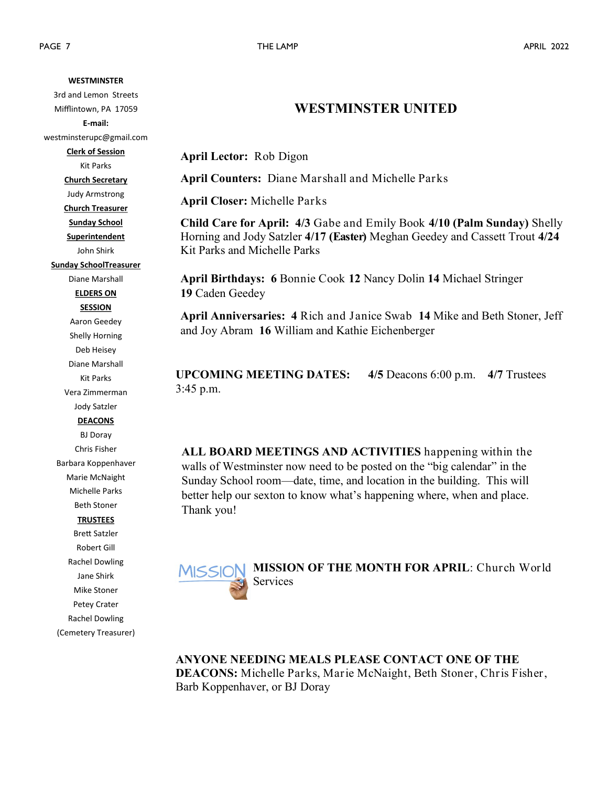PAGE 7 THE LAMP APRIL 2022 **WESTMINSTER** 3rd and Lemon Streets Mifflintown, PA 17059 **E-mail:**  westminsterupc@gmail.com **Clerk of Session** Kit Parks **Church Secretary** Judy Armstrong **Church Treasurer Sunday School Superintendent** John Shirk **Sunday SchoolTreasurer** Diane Marshall **ELDERS ON SESSION** Aaron Geedey Shelly Horning Deb Heisey Diane Marshall Kit Parks Vera Zimmerman Jody Satzler **DEACONS** BJ Doray Chris Fisher Barbara Koppenhaver Marie McNaight Michelle Parks Beth Stoner **TRUSTEES** Brett Satzler Robert Gill Rachel Dowling Jane Shirk Mike Stoner Petey Crater Rachel Dowling (Cemetery Treasurer)

## **WESTMINSTER UNITED**

**April Lector:** Rob Digon

**April Counters:** Diane Marshall and Michelle Parks

**April Closer:** Michelle Parks

**Child Care for April: 4/3** Gabe and Emily Book **4/10 (Palm Sunday)** Shelly Horning and Jody Satzler **4/17 (Easter)** Meghan Geedey and Cassett Trout **4/24**  Kit Parks and Michelle Parks

**April Birthdays: 6** Bonnie Cook **12** Nancy Dolin **14** Michael Stringer **19** Caden Geedey

**April Anniversaries: 4** Rich and Janice Swab **14** Mike and Beth Stoner, Jeff and Joy Abram **16** William and Kathie Eichenberger

**UPCOMING MEETING DATES: 4/5** Deacons 6:00 p.m. **4/7** Trustees 3:45 p.m.

**ALL BOARD MEETINGS AND ACTIVITIES** happening within the walls of Westminster now need to be posted on the "big calendar" in the Sunday School room—date, time, and location in the building. This will better help our sexton to know what's happening where, when and place. Thank you!



**MISSION OF THE MONTH FOR APRIL**: Church World Services

**ANYONE NEEDING MEALS PLEASE CONTACT ONE OF THE DEACONS:** Michelle Parks, Marie McNaight, Beth Stoner, Chris Fisher, Barb Koppenhaver, or BJ Doray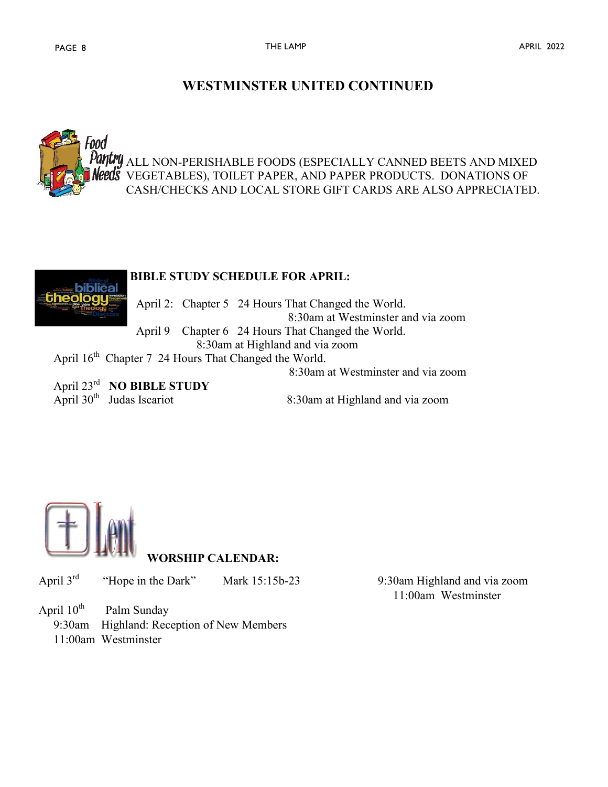## **WESTMINSTER UNITED CONTINUED**





 April 23rd **NO BIBLE STUDY** April  $30<sup>th</sup>$  Judas Iscariot

8:30am at Highland and via zoom



**WORSHIP CALENDAR:**

April 3rd "Hope in the Dark" Mark 15:15b-23 9:30am Highland and via zoom

April  $10^{th}$ Palm Sunday

9:30am Highland: Reception of New Members

11:00am Westminster

11:00am Westminster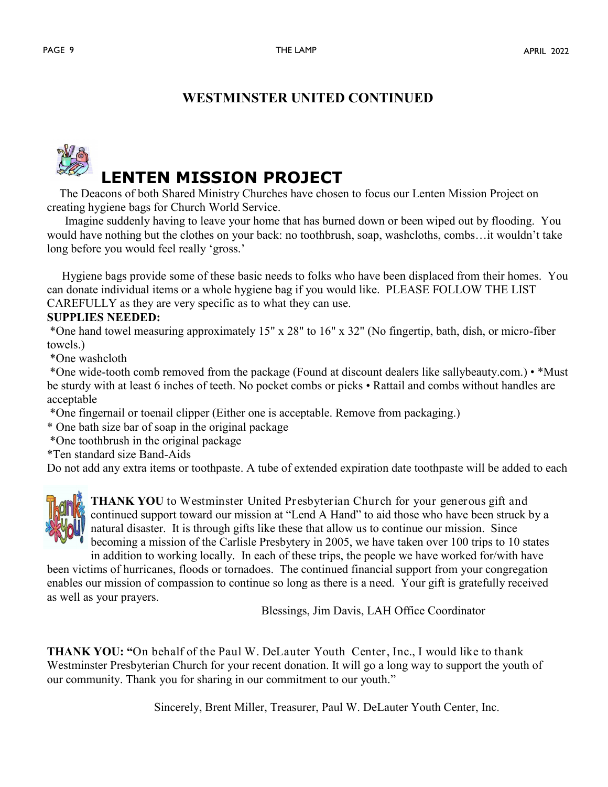## **WESTMINSTER UNITED CONTINUED**

# **LENTEN MISSION PROJECT**

 The Deacons of both Shared Ministry Churches have chosen to focus our Lenten Mission Project on creating hygiene bags for Church World Service.

 Imagine suddenly having to leave your home that has burned down or been wiped out by flooding. You would have nothing but the clothes on your back: no toothbrush, soap, washcloths, combs…it wouldn't take long before you would feel really 'gross.'

 Hygiene bags provide some of these basic needs to folks who have been displaced from their homes. You can donate individual items or a whole hygiene bag if you would like. PLEASE FOLLOW THE LIST CAREFULLY as they are very specific as to what they can use.

### **SUPPLIES NEEDED:**

\*One hand towel measuring approximately 15" x 28" to 16" x 32" (No fingertip, bath, dish, or micro-fiber towels.)

\*One washcloth

\*One wide-tooth comb removed from the package (Found at discount dealers like sallybeauty.com.) • \*Must be sturdy with at least 6 inches of teeth. No pocket combs or picks • Rattail and combs without handles are acceptable

\*One fingernail or toenail clipper (Either one is acceptable. Remove from packaging.)

\* One bath size bar of soap in the original package

\*One toothbrush in the original package

\*Ten standard size Band-Aids

Do not add any extra items or toothpaste. A tube of extended expiration date toothpaste will be added to each



**THANK YOU** to Westminster United Presbyterian Church for your generous gift and continued support toward our mission at "Lend A Hand" to aid those who have been struck by a natural disaster. It is through gifts like these that allow us to continue our mission. Since becoming a mission of the Carlisle Presbytery in 2005, we have taken over 100 trips to 10 states

in addition to working locally. In each of these trips, the people we have worked for/with have been victims of hurricanes, floods or tornadoes. The continued financial support from your congregation enables our mission of compassion to continue so long as there is a need. Your gift is gratefully received as well as your prayers.

Blessings, Jim Davis, LAH Office Coordinator

**THANK YOU: "**On behalf of the Paul W. DeLauter Youth Center, Inc., I would like to thank Westminster Presbyterian Church for your recent donation. It will go a long way to support the youth of our community. Thank you for sharing in our commitment to our youth."

Sincerely, Brent Miller, Treasurer, Paul W. DeLauter Youth Center, Inc.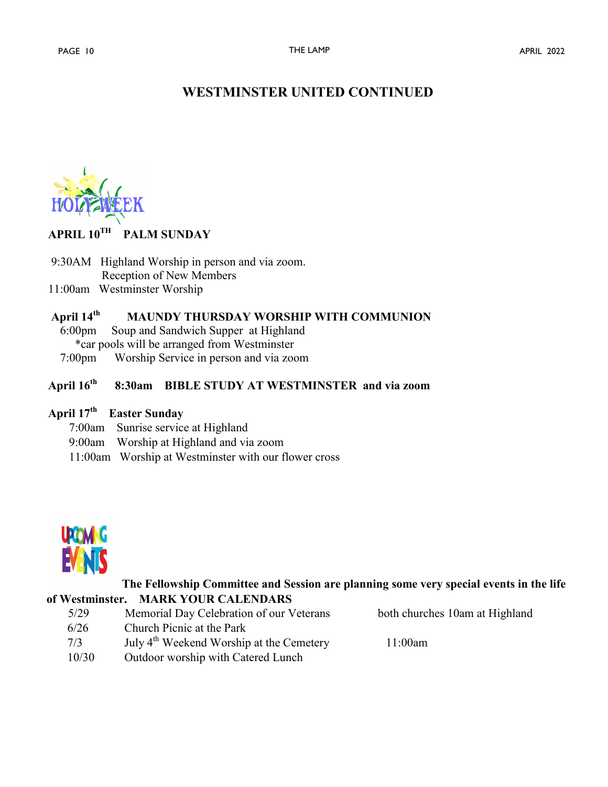## **WESTMINSTER UNITED CONTINUED**

### **APRIL 10TH PALM SUNDAY**

9:30AM Highland Worship in person and via zoom. Reception of New Members

11:00am Westminster Worship

### **April 14th MAUNDY THURSDAY WORSHIP WITH COMMUNION**

 6:00pm Soup and Sandwich Supper at Highland \*car pools will be arranged from Westminster

7:00pm Worship Service in person and via zoom

### **April 16th 8:30am BIBLE STUDY AT WESTMINSTER and via zoom**

### **April 17th Easter Sunday**

- 7:00am Sunrise service at Highland
- 9:00am Worship at Highland and via zoom
- 11:00am Worship at Westminster with our flower cross



### **The Fellowship Committee and Session are planning some very special events in the life of Westminster. MARK YOUR CALENDARS**

| 5/29  | Memorial Day Celebration of our Veterans             | both churches 10am at Highland |
|-------|------------------------------------------------------|--------------------------------|
| 6/26  | Church Picnic at the Park                            |                                |
| 7/3   | July 4 <sup>th</sup> Weekend Worship at the Cemetery | 11:00am                        |
| 10/30 | Outdoor worship with Catered Lunch                   |                                |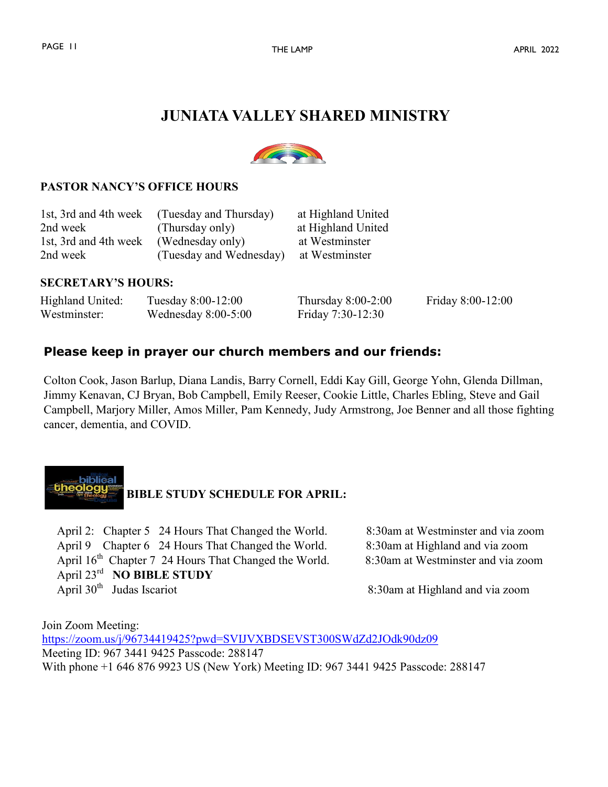# **JUNIATA VALLEY SHARED MINISTRY**



### **PASTOR NANCY'S OFFICE HOURS**

| 1st, 3rd and 4th week | (Tuesday and Thursday)  | at Highland United |
|-----------------------|-------------------------|--------------------|
| 2nd week              | (Thursday only)         | at Highland United |
| 1st, 3rd and 4th week | (Wednesday only)        | at Westminster     |
| 2nd week              | (Tuesday and Wednesday) | at Westminster     |

### **SECRETARY'S HOURS:**

| Highland United: | Tuesday 8:00-12:00    | Thursday $8:00-2:00$ | Friday 8:00-12:00 |
|------------------|-----------------------|----------------------|-------------------|
| Westminster:     | Wednesday $8:00-5:00$ | Friday 7:30-12:30    |                   |

## **Please keep in prayer our church members and our friends:**

Colton Cook, Jason Barlup, Diana Landis, Barry Cornell, Eddi Kay Gill, George Yohn, Glenda Dillman, Jimmy Kenavan, CJ Bryan, Bob Campbell, Emily Reeser, Cookie Little, Charles Ebling, Steve and Gail Campbell, Marjory Miller, Amos Miller, Pam Kennedy, Judy Armstrong, Joe Benner and all those fighting cancer, dementia, and COVID.



 April 2: Chapter 5 24 Hours That Changed the World. 8:30am at Westminster and via zoom April 9 Chapter 6 24 Hours That Changed the World. 8:30am at Highland and via zoom April 16<sup>th</sup> Chapter 7 24 Hours That Changed the World. 8:30am at Westminster and via zoom April 23rd **NO BIBLE STUDY** April  $30<sup>th</sup>$  Judas Iscariot

8:30am at Highland and via zoom

Join Zoom Meeting: <https://zoom.us/j/96734419425?pwd=SVIJVXBDSEVST300SWdZd2JOdk90dz09> Meeting ID: 967 3441 9425 Passcode: 288147 With phone +1 646 876 9923 US (New York) Meeting ID: 967 3441 9425 Passcode: 288147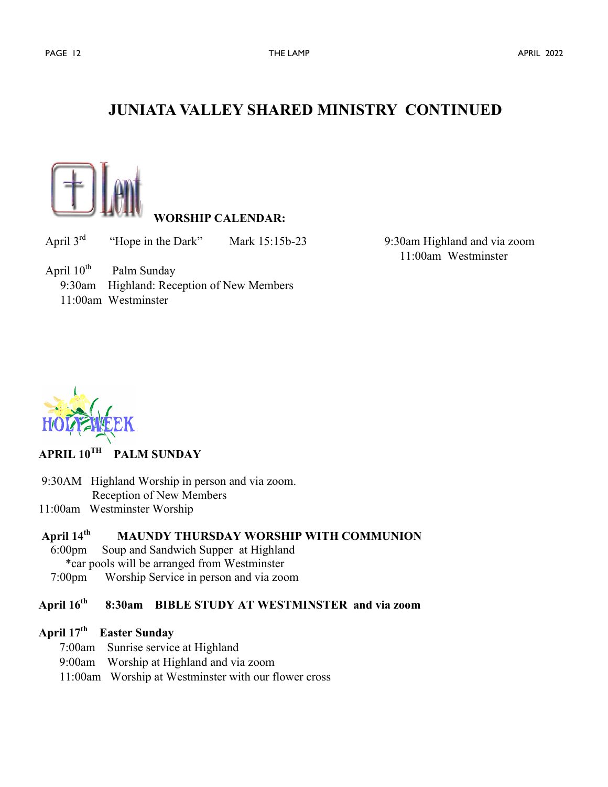# **JUNIATA VALLEY SHARED MINISTRY CONTINUED**



### **WORSHIP CALENDAR:**

April 3rd "Hope in the Dark" Mark 15:15b-23 9:30am Highland and via zoom

11:00am Westminster

April  $10^{th}$  Palm Sunday 9:30am Highland: Reception of New Members 11:00am Westminster



### **APRIL 10TH PALM SUNDAY**

- 9:30AM Highland Worship in person and via zoom. Reception of New Members
- 11:00am Westminster Worship

### **April 14th MAUNDY THURSDAY WORSHIP WITH COMMUNION**

- 6:00pm Soup and Sandwich Supper at Highland
	- \*car pools will be arranged from Westminster
- 7:00pm Worship Service in person and via zoom

### **April 16th 8:30am BIBLE STUDY AT WESTMINSTER and via zoom**

### **April 17th Easter Sunday**

- 7:00am Sunrise service at Highland
- 9:00am Worship at Highland and via zoom
- 11:00am Worship at Westminster with our flower cross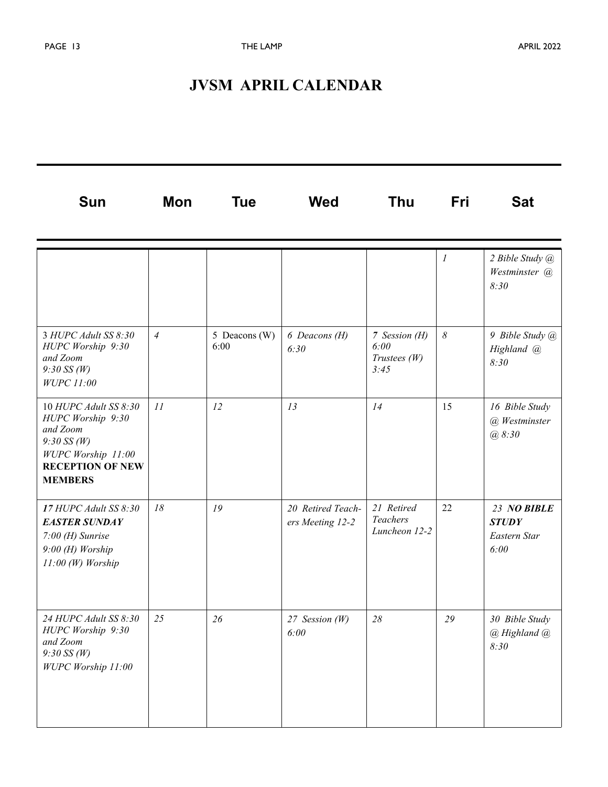# **JVSM APRIL CALENDAR**

| Sun                                                                                                                                        | <b>Mon</b>     | <b>Tue</b>            | <b>Wed</b>                            | <b>Thu</b>                                   | <b>Fri</b>       | <b>Sat</b>                                          |
|--------------------------------------------------------------------------------------------------------------------------------------------|----------------|-----------------------|---------------------------------------|----------------------------------------------|------------------|-----------------------------------------------------|
|                                                                                                                                            |                |                       |                                       |                                              | $\boldsymbol{l}$ | 2 Bible Study @<br>Westminster @<br>8:30            |
| 3 HUPC Adult SS 8:30<br>HUPC Worship 9:30<br>and Zoom<br>$9:30$ SS (W)<br>WUPC 11:00                                                       | $\overline{4}$ | 5 Deacons (W)<br>6:00 | 6 Deacons (H)<br>6:30                 | 7 Session (H)<br>6:00<br>Trustees(W)<br>3:45 | $\delta$         | 9 Bible Study @<br>Highland @<br>8:30               |
| 10 HUPC Adult SS 8:30<br>HUPC Worship 9:30<br>and Zoom<br>$9:30$ SS (W)<br>WUPC Worship 11:00<br><b>RECEPTION OF NEW</b><br><b>MEMBERS</b> | 11             | 12                    | 13                                    | 14                                           | 15               | 16 Bible Study<br>(a) Westminster<br>@8:30          |
| 17 HUPC Adult SS 8:30<br><b>EASTER SUNDAY</b><br>$7:00$ (H) Sunrise<br>9:00 (H) Worship<br>$11:00 (W)$ Worship                             | 18             | 19                    | 20 Retired Teach-<br>ers Meeting 12-2 | 21 Retired<br>Teachers<br>Luncheon 12-2      | 22               | 23 NO BIBLE<br><b>STUDY</b><br>Eastern Star<br>6:00 |
| 24 HUPC Adult SS 8:30<br>HUPC Worship 9:30<br>and Zoom<br>$9:30$ SS (W)<br>WUPC Worship 11:00                                              | 25             | 26                    | 27 Session (W)<br>6:00                | 28                                           | 29               | 30 Bible Study<br>@ Highland @<br>8:30              |